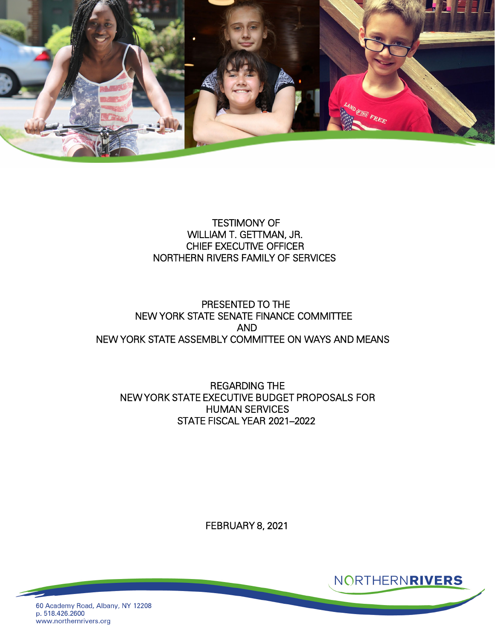

## TESTIMONY OF WILLIAM T. GETTMAN, JR. CHIEF EXECUTIVE OFFICER NORTHERN RIVERS FAMILY OF SERVICES

## PRESENTED TO THE NEW YORK STATE SENATE FINANCE COMMITTEE AND NEW YORK STATE ASSEMBLY COMMITTEE ON WAYS AND MEANS

REGARDING THE NEW YORK STATE EXECUTIVE BUDGET PROPOSALS FOR HUMAN SERVICES STATE FISCAL YEAR 2021–2022

FEBRUARY 8, 2021



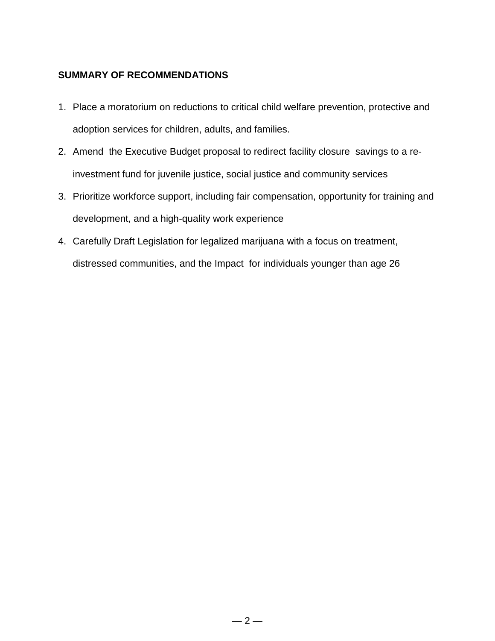### **SUMMARY OF RECOMMENDATIONS**

- 1. Place a moratorium on reductions to critical child welfare prevention, protective and adoption services for children, adults, and families.
- 2. Amend the Executive Budget proposal to redirect facility closure savings to a reinvestment fund for juvenile justice, social justice and community services
- 3. Prioritize workforce support, including fair compensation, opportunity for training and development, and a high-quality work experience
- 4. Carefully Draft Legislation for legalized marijuana with a focus on treatment, distressed communities, and the Impact for individuals younger than age 26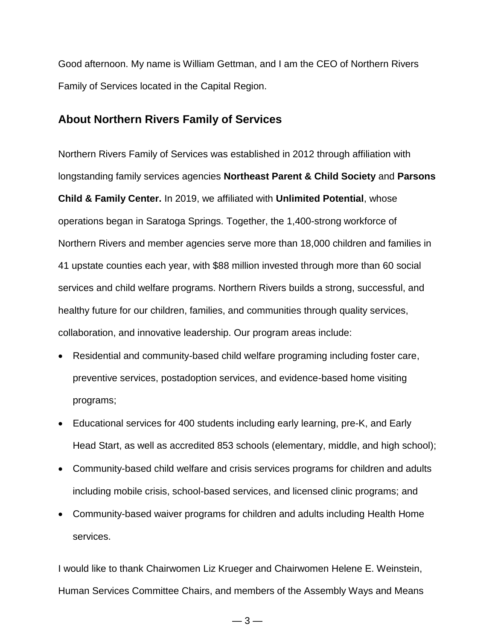Good afternoon. My name is William Gettman, and I am the CEO of Northern Rivers Family of Services located in the Capital Region.

## **About Northern Rivers Family of Services**

Northern Rivers Family of Services was established in 2012 through affiliation with longstanding family services agencies **Northeast Parent & Child Society** and **Parsons Child & Family Center.** In 2019, we affiliated with **Unlimited Potential**, whose operations began in Saratoga Springs. Together, the 1,400-strong workforce of Northern Rivers and member agencies serve more than 18,000 children and families in 41 upstate counties each year, with \$88 million invested through more than 60 social services and child welfare programs. Northern Rivers builds a strong, successful, and healthy future for our children, families, and communities through quality services, collaboration, and innovative leadership. Our program areas include:

- Residential and community-based child welfare programing including foster care, preventive services, postadoption services, and evidence-based home visiting programs;
- Educational services for 400 students including early learning, pre-K, and Early Head Start, as well as accredited 853 schools (elementary, middle, and high school);
- Community-based child welfare and crisis services programs for children and adults including mobile crisis, school-based services, and licensed clinic programs; and
- Community-based waiver programs for children and adults including Health Home services.

I would like to thank Chairwomen Liz Krueger and Chairwomen Helene E. Weinstein, Human Services Committee Chairs, and members of the Assembly Ways and Means

 $-3-$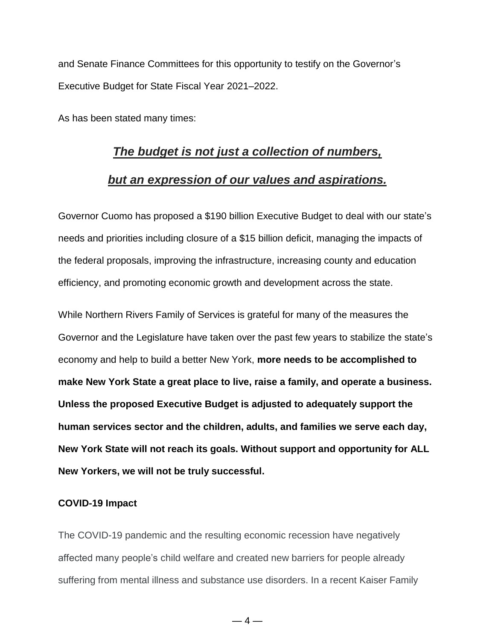and Senate Finance Committees for this opportunity to testify on the Governor's Executive Budget for State Fiscal Year 2021–2022.

As has been stated many times:

# *[The budget is not just a collection of numbers,](https://www.brainyquote.com/quotes/jacob_lew_442942)*

### *[but an expression of our values and aspirations.](https://www.brainyquote.com/quotes/jacob_lew_442942)*

Governor Cuomo has proposed a \$190 billion Executive Budget to deal with our state's needs and priorities including closure of a \$15 billion deficit, managing the impacts of the federal proposals, improving the infrastructure, increasing county and education efficiency, and promoting economic growth and development across the state.

While Northern Rivers Family of Services is grateful for many of the measures the Governor and the Legislature have taken over the past few years to stabilize the state's economy and help to build a better New York, **more needs to be accomplished to make New York State a great place to live, raise a family, and operate a business. Unless the proposed Executive Budget is adjusted to adequately support the human services sector and the children, adults, and families we serve each day, New York State will not reach its goals. Without support and opportunity for ALL New Yorkers, we will not be truly successful.**

### **COVID-19 Impact**

The COVID-19 pandemic and the resulting economic recession have negatively affected many people's child welfare and created new barriers for people already suffering from mental illness and substance use disorders. In a recent Kaiser Family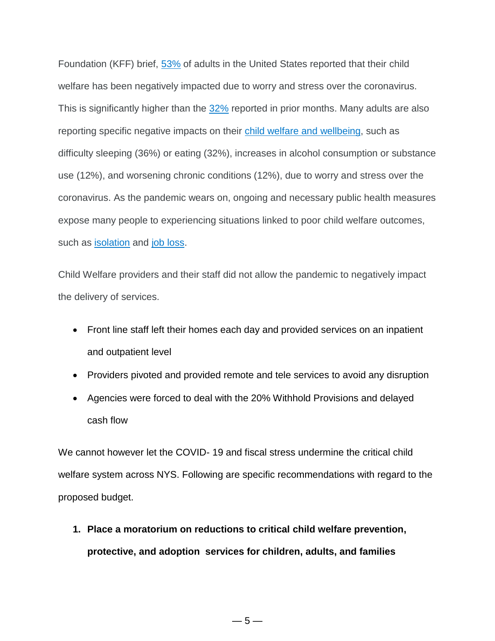Foundation (KFF) brief, [53%](https://www.kff.org/coronavirus-covid-19/report/kff-health-tracking-poll-july-2020/) of adults in the United States reported that their child welfare has been negatively impacted due to worry and stress over the coronavirus. This is significantly higher than the [32%](https://www.kff.org/coronavirus-covid-19/poll-finding/kff-coronavirus-poll-march-2020/) reported in prior months. Many adults are also reporting specific negative impacts on their child welfare and [wellbeing,](https://www.kff.org/coronavirus-covid-19/report/kff-health-tracking-poll-july-2020/) such as difficulty sleeping (36%) or eating (32%), increases in alcohol consumption or substance use (12%), and worsening chronic conditions (12%), due to worry and stress over the coronavirus. As the pandemic wears on, ongoing and necessary public health measures expose many people to experiencing situations linked to poor child welfare outcomes, such as [isolation](https://www.cdc.gov/mentalhealth/learn/index.htm) and job [loss.](https://www.cdc.gov/violenceprevention/suicide/riskprotectivefactors.html)

Child Welfare providers and their staff did not allow the pandemic to negatively impact the delivery of services.

- Front line staff left their homes each day and provided services on an inpatient and outpatient level
- Providers pivoted and provided remote and tele services to avoid any disruption
- Agencies were forced to deal with the 20% Withhold Provisions and delayed cash flow

We cannot however let the COVID- 19 and fiscal stress undermine the critical child welfare system across NYS. Following are specific recommendations with regard to the proposed budget.

- **1. Place a moratorium on reductions to critical child welfare prevention, protective, and adoption services for children, adults, and families**
	- $-5-$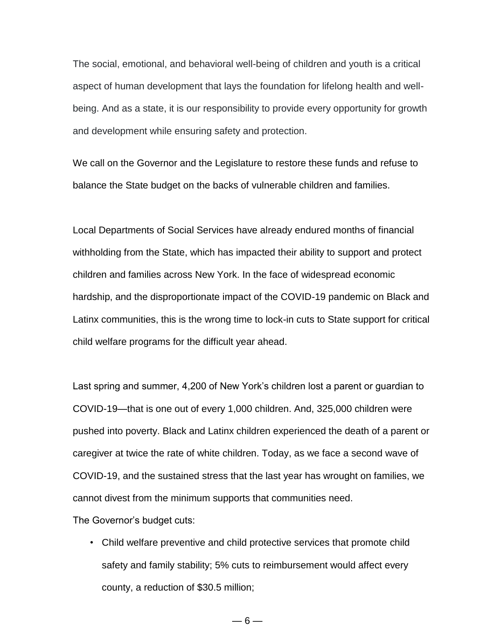The social, emotional, and behavioral well-being of children and youth is a critical aspect of human development that lays the foundation for lifelong health and wellbeing. And as a state, it is our responsibility to provide every opportunity for growth and development while ensuring safety and protection.

We call on the Governor and the Legislature to restore these funds and refuse to balance the State budget on the backs of vulnerable children and families.

Local Departments of Social Services have already endured months of financial withholding from the State, which has impacted their ability to support and protect children and families across New York. In the face of widespread economic hardship, and the disproportionate impact of the COVID-19 pandemic on Black and Latinx communities, this is the wrong time to lock-in cuts to State support for critical child welfare programs for the difficult year ahead.

Last spring and summer, 4,200 of New York's children lost a parent or guardian to COVID-19—that is one out of every 1,000 children. And, 325,000 children were pushed into poverty. Black and Latinx children experienced the death of a parent or caregiver at twice the rate of white children. Today, as we face a second wave of COVID-19, and the sustained stress that the last year has wrought on families, we cannot divest from the minimum supports that communities need.

The Governor's budget cuts:

- Child welfare preventive and child protective services that promote child safety and family stability; 5% cuts to reimbursement would affect every county, a reduction of \$30.5 million;
	- $-6-$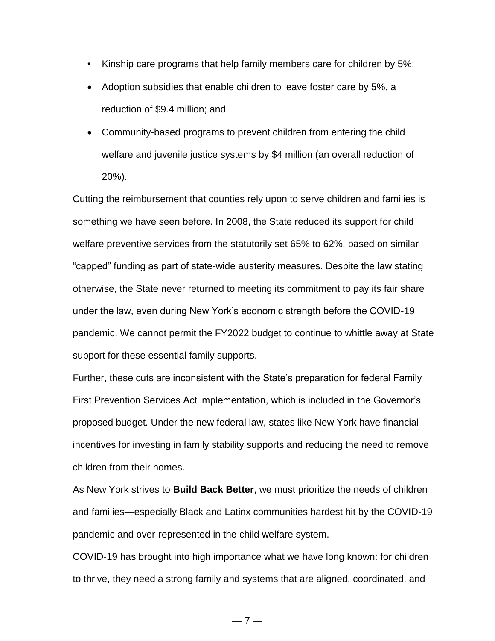- Kinship care programs that help family members care for children by 5%;
- Adoption subsidies that enable children to leave foster care by 5%, a reduction of \$9.4 million; and
- Community-based programs to prevent children from entering the child welfare and juvenile justice systems by \$4 million (an overall reduction of 20%).

Cutting the reimbursement that counties rely upon to serve children and families is something we have seen before. In 2008, the State reduced its support for child welfare preventive services from the statutorily set 65% to 62%, based on similar "capped" funding as part of state-wide austerity measures. Despite the law stating otherwise, the State never returned to meeting its commitment to pay its fair share under the law, even during New York's economic strength before the COVID-19 pandemic. We cannot permit the FY2022 budget to continue to whittle away at State support for these essential family supports.

Further, these cuts are inconsistent with the State's preparation for federal Family First Prevention Services Act implementation, which is included in the Governor's proposed budget. Under the new federal law, states like New York have financial incentives for investing in family stability supports and reducing the need to remove children from their homes.

As New York strives to **Build Back Better**, we must prioritize the needs of children and families—especially Black and Latinx communities hardest hit by the COVID-19 pandemic and over-represented in the child welfare system.

COVID-19 has brought into high importance what we have long known: for children to thrive, they need a strong family and systems that are aligned, coordinated, and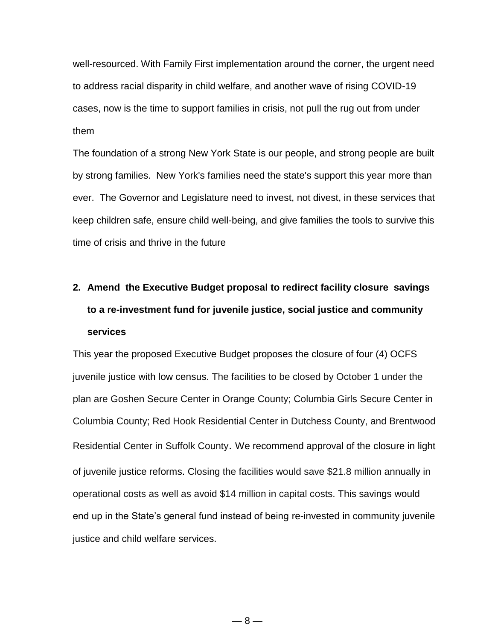well-resourced. With Family First implementation around the corner, the urgent need to address racial disparity in child welfare, and another wave of rising COVID-19 cases, now is the time to support families in crisis, not pull the rug out from under them

The foundation of a strong New York State is our people, and strong people are built by strong families. New York's families need the state's support this year more than ever. The Governor and Legislature need to invest, not divest, in these services that keep children safe, ensure child well-being, and give families the tools to survive this time of crisis and thrive in the future

# **2. Amend the Executive Budget proposal to redirect facility closure savings to a re-investment fund for juvenile justice, social justice and community services**

This year the proposed Executive Budget proposes the closure of four (4) OCFS juvenile justice with low census. The facilities to be closed by October 1 under the plan are Goshen Secure Center in Orange County; Columbia Girls Secure Center in Columbia County; Red Hook Residential Center in Dutchess County, and Brentwood Residential Center in Suffolk County. We recommend approval of the closure in light of juvenile justice reforms. Closing the facilities would save \$21.8 million annually in operational costs as well as avoid \$14 million in capital costs. This savings would end up in the State's general fund instead of being re-invested in community juvenile justice and child welfare services.

 $-8-$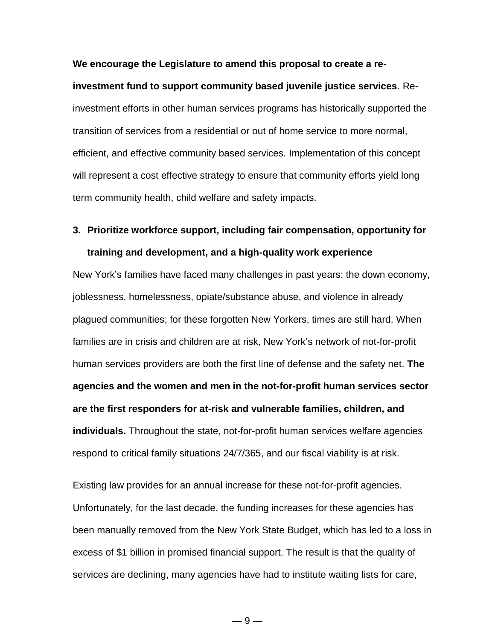**We encourage the Legislature to amend this proposal to create a reinvestment fund to support community based juvenile justice services**. Reinvestment efforts in other human services programs has historically supported the transition of services from a residential or out of home service to more normal, efficient, and effective community based services. Implementation of this concept will represent a cost effective strategy to ensure that community efforts yield long term community health, child welfare and safety impacts.

## **3. Prioritize workforce support, including fair compensation, opportunity for training and development, and a high-quality work experience**

New York's families have faced many challenges in past years: the down economy, joblessness, homelessness, opiate/substance abuse, and violence in already plagued communities; for these forgotten New Yorkers, times are still hard. When families are in crisis and children are at risk, New York's network of not-for-profit human services providers are both the first line of defense and the safety net. **The agencies and the women and men in the not-for-profit human services sector are the first responders for at-risk and vulnerable families, children, and individuals.** Throughout the state, not-for-profit human services welfare agencies respond to critical family situations 24/7/365, and our fiscal viability is at risk.

Existing law provides for an annual increase for these not-for-profit agencies. Unfortunately, for the last decade, the funding increases for these agencies has been manually removed from the New York State Budget, which has led to a loss in excess of \$1 billion in promised financial support. The result is that the quality of services are declining, many agencies have had to institute waiting lists for care,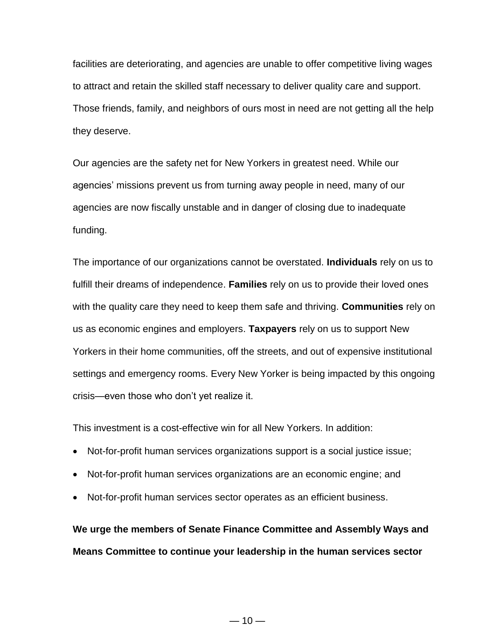facilities are deteriorating, and agencies are unable to offer competitive living wages to attract and retain the skilled staff necessary to deliver quality care and support. Those friends, family, and neighbors of ours most in need are not getting all the help they deserve.

Our agencies are the safety net for New Yorkers in greatest need. While our agencies' missions prevent us from turning away people in need, many of our agencies are now fiscally unstable and in danger of closing due to inadequate funding.

The importance of our organizations cannot be overstated. **Individuals** rely on us to fulfill their dreams of independence. **Families** rely on us to provide their loved ones with the quality care they need to keep them safe and thriving. **Communities** rely on us as economic engines and employers. **Taxpayers** rely on us to support New Yorkers in their home communities, off the streets, and out of expensive institutional settings and emergency rooms. Every New Yorker is being impacted by this ongoing crisis—even those who don't yet realize it.

This investment is a cost-effective win for all New Yorkers. In addition:

- Not-for-profit human services organizations support is a social justice issue;
- Not-for-profit human services organizations are an economic engine; and
- Not-for-profit human services sector operates as an efficient business.

**We urge the members of Senate Finance Committee and Assembly Ways and Means Committee to continue your leadership in the human services sector**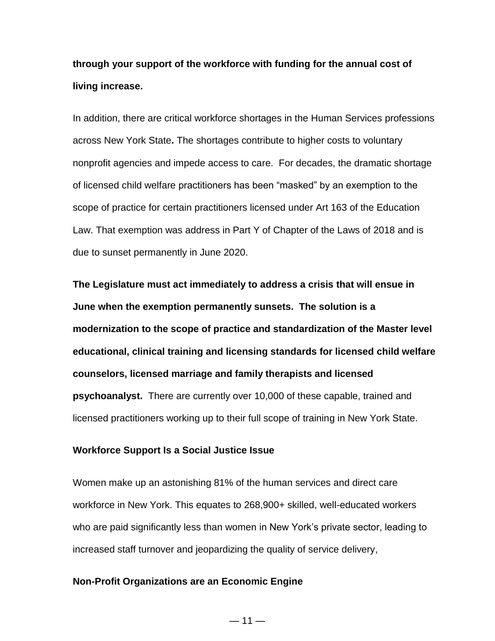## **through your support of the workforce with funding for the annual cost of living increase.**

In addition, there are critical workforce shortages in the Human Services professions across New York State**.** The shortages contribute to higher costs to voluntary nonprofit agencies and impede access to care. For decades, the dramatic shortage of licensed child welfare practitioners has been "masked" by an exemption to the scope of practice for certain practitioners licensed under Art 163 of the Education Law. That exemption was address in Part Y of Chapter of the Laws of 2018 and is due to sunset permanently in June 2020.

**The Legislature must act immediately to address a crisis that will ensue in June when the exemption permanently sunsets. The solution is a modernization to the scope of practice and standardization of the Master level educational, clinical training and licensing standards for licensed child welfare counselors, licensed marriage and family therapists and licensed psychoanalyst.** There are currently over 10,000 of these capable, trained and licensed practitioners working up to their full scope of training in New York State.

### **Workforce Support Is a Social Justice Issue**

Women make up an astonishing 81% of the human services and direct care workforce in New York. This equates to 268,900+ skilled, well-educated workers who are paid significantly less than women in New York's private sector, leading to increased staff turnover and jeopardizing the quality of service delivery,

### **Non-Profit Organizations are an Economic Engine**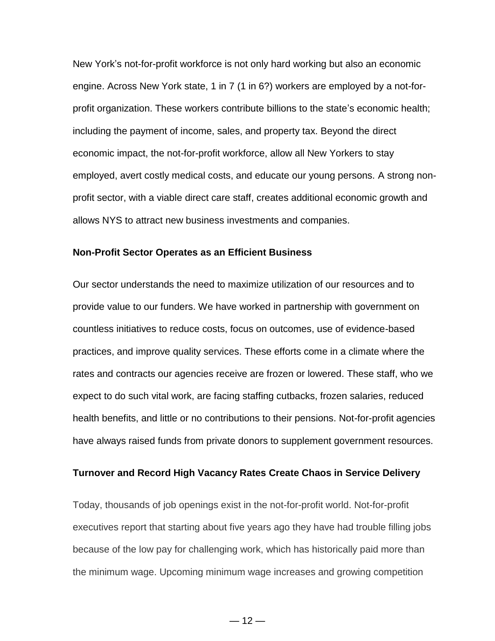New York's not-for-profit workforce is not only hard working but also an economic engine. Across New York state, 1 in 7 (1 in 6?) workers are employed by a not-forprofit organization. These workers contribute billions to the state's economic health; including the payment of income, sales, and property tax. Beyond the direct economic impact, the not-for-profit workforce, allow all New Yorkers to stay employed, avert costly medical costs, and educate our young persons. A strong nonprofit sector, with a viable direct care staff, creates additional economic growth and allows NYS to attract new business investments and companies.

#### **Non-Profit Sector Operates as an Efficient Business**

Our sector understands the need to maximize utilization of our resources and to provide value to our funders. We have worked in partnership with government on countless initiatives to reduce costs, focus on outcomes, use of evidence-based practices, and improve quality services. These efforts come in a climate where the rates and contracts our agencies receive are frozen or lowered. These staff, who we expect to do such vital work, are facing staffing cutbacks, frozen salaries, reduced health benefits, and little or no contributions to their pensions. Not-for-profit agencies have always raised funds from private donors to supplement government resources.

### **Turnover and Record High Vacancy Rates Create Chaos in Service Delivery**

Today, thousands of job openings exist in the not-for-profit world. Not-for-profit executives report that starting about five years ago they have had trouble filling jobs because of the low pay for challenging work, which has historically paid more than the minimum wage. Upcoming minimum wage increases and growing competition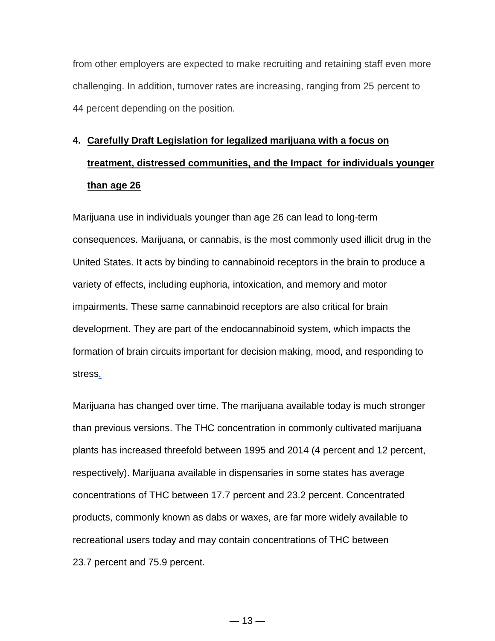from other employers are expected to make recruiting and retaining staff even more challenging. In addition, turnover rates are increasing, ranging from 25 percent to 44 percent depending on the position.

# **4. Carefully Draft Legislation for legalized marijuana with a focus on treatment, distressed communities, and the Impact for individuals younger than age 26**

Marijuana use in individuals younger than age 26 can lead to long-term consequences. Marijuana, or cannabis, is the most commonly used illicit drug in the United States. It acts by binding to cannabinoid receptors in the brain to produce a variety of effects, including euphoria, intoxication, and memory and motor impairments. These same cannabinoid receptors are also critical for brain development. They are part of the endocannabinoid system, which impacts the formation of brain circuits important for decision making, mood, and responding to stres[s.](https://www.hhs.gov/surgeongeneral/reports-and-publications/addiction-and-substance-misuse/advisory-on-marijuana-use-and-developing-brain/index.html#footnote1_exfmlq5)

Marijuana has changed over time. The marijuana available today is much stronger than previous versions. The THC concentration in commonly cultivated marijuana plants has increased threefold between 1995 and 2014 (4 percent and 12 percent, respectively). Marijuana available in dispensaries in some states has average concentrations of THC between 17.7 percent and 23.2 percent. Concentrated products, commonly known as dabs or waxes, are far more widely available to recreational users today and may contain concentrations of THC between 23.7 percent and 75.9 percent.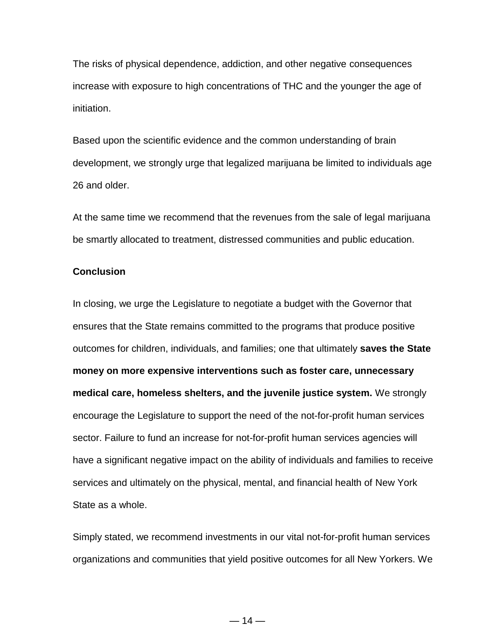The risks of physical dependence, addiction, and other negative consequences increase with exposure to high concentrations of THC and the younger the age of initiation.

Based upon the scientific evidence and the common understanding of brain development, we strongly urge that legalized marijuana be limited to individuals age 26 and older.

At the same time we recommend that the revenues from the sale of legal marijuana be smartly allocated to treatment, distressed communities and public education.

### **Conclusion**

In closing, we urge the Legislature to negotiate a budget with the Governor that ensures that the State remains committed to the programs that produce positive outcomes for children, individuals, and families; one that ultimately **saves the State money on more expensive interventions such as foster care, unnecessary medical care, homeless shelters, and the juvenile justice system.** We strongly encourage the Legislature to support the need of the not-for-profit human services sector. Failure to fund an increase for not-for-profit human services agencies will have a significant negative impact on the ability of individuals and families to receive services and ultimately on the physical, mental, and financial health of New York State as a whole.

Simply stated, we recommend investments in our vital not-for-profit human services organizations and communities that yield positive outcomes for all New Yorkers. We